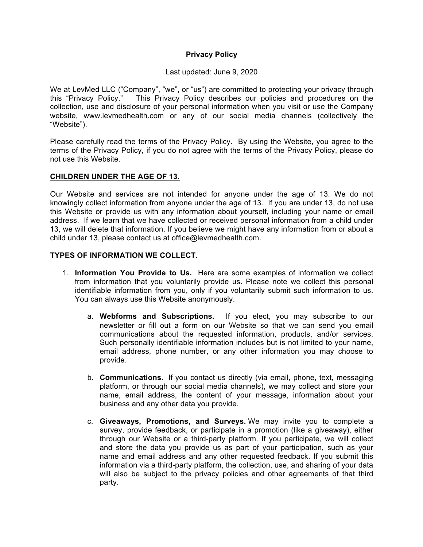### **Privacy Policy**

#### Last updated: June 9, 2020

We at LevMed LLC ("Company", "we", or "us") are committed to protecting your privacy through this "Privacy Policy." This Privacy Policy describes our policies and procedures on the This Privacy Policy describes our policies and procedures on the collection, use and disclosure of your personal information when you visit or use the Company website, www.levmedhealth.com or any of our social media channels (collectively the "Website").

Please carefully read the terms of the Privacy Policy. By using the Website, you agree to the terms of the Privacy Policy, if you do not agree with the terms of the Privacy Policy, please do not use this Website.

### **CHILDREN UNDER THE AGE OF 13.**

Our Website and services are not intended for anyone under the age of 13. We do not knowingly collect information from anyone under the age of 13. If you are under 13, do not use this Website or provide us with any information about yourself, including your name or email address. If we learn that we have collected or received personal information from a child under 13, we will delete that information. If you believe we might have any information from or about a child under 13, please contact us at office@levmedhealth.com.

#### **TYPES OF INFORMATION WE COLLECT.**

- 1. **Information You Provide to Us.** Here are some examples of information we collect from information that you voluntarily provide us. Please note we collect this personal identifiable information from you, only if you voluntarily submit such information to us. You can always use this Website anonymously.
	- a. **Webforms and Subscriptions.** If you elect, you may subscribe to our newsletter or fill out a form on our Website so that we can send you email communications about the requested information, products, and/or services. Such personally identifiable information includes but is not limited to your name, email address, phone number, or any other information you may choose to provide.
	- b. **Communications.** If you contact us directly (via email, phone, text, messaging platform, or through our social media channels), we may collect and store your name, email address, the content of your message, information about your business and any other data you provide.
	- c. **Giveaways, Promotions, and Surveys.** We may invite you to complete a survey, provide feedback, or participate in a promotion (like a giveaway), either through our Website or a third-party platform. If you participate, we will collect and store the data you provide us as part of your participation, such as your name and email address and any other requested feedback. If you submit this information via a third-party platform, the collection, use, and sharing of your data will also be subject to the privacy policies and other agreements of that third party.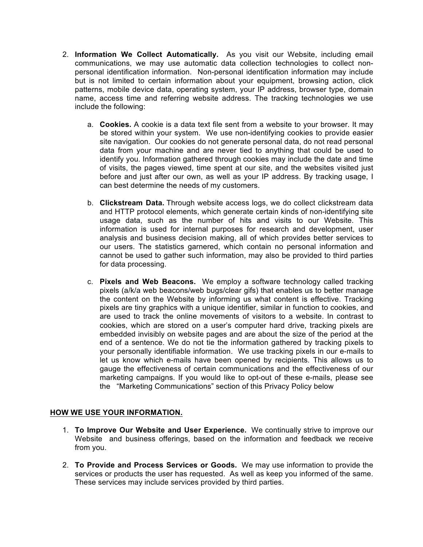- 2. **Information We Collect Automatically.** As you visit our Website, including email communications, we may use automatic data collection technologies to collect nonpersonal identification information. Non-personal identification information may include but is not limited to certain information about your equipment, browsing action, click patterns, mobile device data, operating system, your IP address, browser type, domain name, access time and referring website address. The tracking technologies we use include the following:
	- a. **Cookies.** A cookie is a data text file sent from a website to your browser. It may be stored within your system. We use non-identifying cookies to provide easier site navigation. Our cookies do not generate personal data, do not read personal data from your machine and are never tied to anything that could be used to identify you. Information gathered through cookies may include the date and time of visits, the pages viewed, time spent at our site, and the websites visited just before and just after our own, as well as your IP address. By tracking usage, I can best determine the needs of my customers.
	- b. **Clickstream Data.** Through website access logs, we do collect clickstream data and HTTP protocol elements, which generate certain kinds of non-identifying site usage data, such as the number of hits and visits to our Website. This information is used for internal purposes for research and development, user analysis and business decision making, all of which provides better services to our users. The statistics garnered, which contain no personal information and cannot be used to gather such information, may also be provided to third parties for data processing.
	- c. **Pixels and Web Beacons.** We employ a software technology called tracking pixels (a/k/a web beacons/web bugs/clear gifs) that enables us to better manage the content on the Website by informing us what content is effective. Tracking pixels are tiny graphics with a unique identifier, similar in function to cookies, and are used to track the online movements of visitors to a website. In contrast to cookies, which are stored on a user's computer hard drive, tracking pixels are embedded invisibly on website pages and are about the size of the period at the end of a sentence. We do not tie the information gathered by tracking pixels to your personally identifiable information. We use tracking pixels in our e-mails to let us know which e-mails have been opened by recipients. This allows us to gauge the effectiveness of certain communications and the effectiveness of our marketing campaigns. If you would like to opt-out of these e-mails, please see the "Marketing Communications" section of this Privacy Policy below

# **HOW WE USE YOUR INFORMATION.**

- 1. **To Improve Our Website and User Experience.** We continually strive to improve our Website and business offerings, based on the information and feedback we receive from you.
- 2. **To Provide and Process Services or Goods.** We may use information to provide the services or products the user has requested. As well as keep you informed of the same. These services may include services provided by third parties.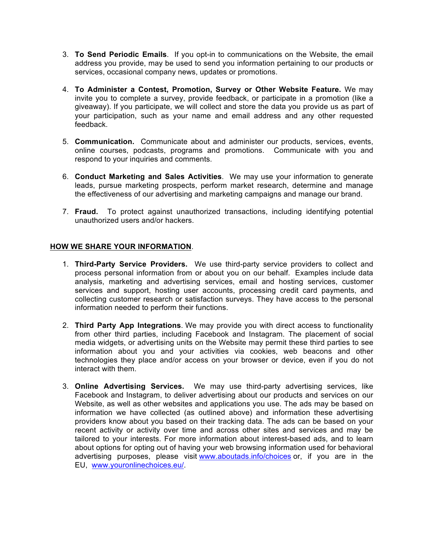- 3. **To Send Periodic Emails**. If you opt-in to communications on the Website, the email address you provide, may be used to send you information pertaining to our products or services, occasional company news, updates or promotions.
- 4. **To Administer a Contest, Promotion, Survey or Other Website Feature.** We may invite you to complete a survey, provide feedback, or participate in a promotion (like a giveaway). If you participate, we will collect and store the data you provide us as part of your participation, such as your name and email address and any other requested feedback.
- 5. **Communication.** Communicate about and administer our products, services, events, online courses, podcasts, programs and promotions. Communicate with you and respond to your inquiries and comments.
- 6. **Conduct Marketing and Sales Activities**. We may use your information to generate leads, pursue marketing prospects, perform market research, determine and manage the effectiveness of our advertising and marketing campaigns and manage our brand.
- 7. **Fraud.** To protect against unauthorized transactions, including identifying potential unauthorized users and/or hackers.

### **HOW WE SHARE YOUR INFORMATION**.

- 1. **Third-Party Service Providers.** We use third-party service providers to collect and process personal information from or about you on our behalf. Examples include data analysis, marketing and advertising services, email and hosting services, customer services and support, hosting user accounts, processing credit card payments, and collecting customer research or satisfaction surveys. They have access to the personal information needed to perform their functions.
- 2. **Third Party App Integrations**. We may provide you with direct access to functionality from other third parties, including Facebook and Instagram. The placement of social media widgets, or advertising units on the Website may permit these third parties to see information about you and your activities via cookies, web beacons and other technologies they place and/or access on your browser or device, even if you do not interact with them.
- 3. **Online Advertising Services.** We may use third-party advertising services, like Facebook and Instagram, to deliver advertising about our products and services on our Website, as well as other websites and applications you use. The ads may be based on information we have collected (as outlined above) and information these advertising providers know about you based on their tracking data. The ads can be based on your recent activity or activity over time and across other sites and services and may be tailored to your interests. For more information about interest-based ads, and to learn about options for opting out of having your web browsing information used for behavioral advertising purposes, please visit www.aboutads.info/choices or, if you are in the EU, www.youronlinechoices.eu/.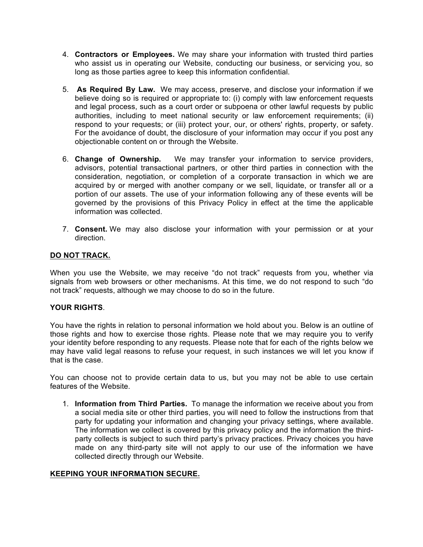- 4. **Contractors or Employees.** We may share your information with trusted third parties who assist us in operating our Website, conducting our business, or servicing you, so long as those parties agree to keep this information confidential.
- 5. **As Required By Law.** We may access, preserve, and disclose your information if we believe doing so is required or appropriate to: (i) comply with law enforcement requests and legal process, such as a court order or subpoena or other lawful requests by public authorities, including to meet national security or law enforcement requirements; (ii) respond to your requests; or (iii) protect your, our, or others' rights, property, or safety. For the avoidance of doubt, the disclosure of your information may occur if you post any objectionable content on or through the Website.
- 6. **Change of Ownership.** We may transfer your information to service providers, advisors, potential transactional partners, or other third parties in connection with the consideration, negotiation, or completion of a corporate transaction in which we are acquired by or merged with another company or we sell, liquidate, or transfer all or a portion of our assets. The use of your information following any of these events will be governed by the provisions of this Privacy Policy in effect at the time the applicable information was collected.
- 7. **Consent.** We may also disclose your information with your permission or at your direction.

# **DO NOT TRACK.**

When you use the Website, we may receive "do not track" requests from you, whether via signals from web browsers or other mechanisms. At this time, we do not respond to such "do not track" requests, although we may choose to do so in the future.

#### **YOUR RIGHTS**.

You have the rights in relation to personal information we hold about you. Below is an outline of those rights and how to exercise those rights. Please note that we may require you to verify your identity before responding to any requests. Please note that for each of the rights below we may have valid legal reasons to refuse your request, in such instances we will let you know if that is the case.

You can choose not to provide certain data to us, but you may not be able to use certain features of the Website.

1. **Information from Third Parties.** To manage the information we receive about you from a social media site or other third parties, you will need to follow the instructions from that party for updating your information and changing your privacy settings, where available. The information we collect is covered by this privacy policy and the information the thirdparty collects is subject to such third party's privacy practices. Privacy choices you have made on any third-party site will not apply to our use of the information we have collected directly through our Website.

#### **KEEPING YOUR INFORMATION SECURE.**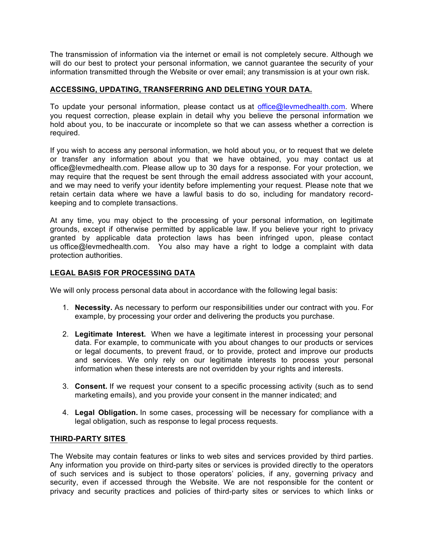The transmission of information via the internet or email is not completely secure. Although we will do our best to protect your personal information, we cannot guarantee the security of your information transmitted through the Website or over email; any transmission is at your own risk.

# **ACCESSING, UPDATING, TRANSFERRING AND DELETING YOUR DATA.**

To update your personal information, please contact us at office@levmedhealth.com. Where you request correction, please explain in detail why you believe the personal information we hold about you, to be inaccurate or incomplete so that we can assess whether a correction is required.

If you wish to access any personal information, we hold about you, or to request that we delete or transfer any information about you that we have obtained, you may contact us at office@levmedhealth.com. Please allow up to 30 days for a response. For your protection, we may require that the request be sent through the email address associated with your account, and we may need to verify your identity before implementing your request. Please note that we retain certain data where we have a lawful basis to do so, including for mandatory recordkeeping and to complete transactions.

At any time, you may object to the processing of your personal information, on legitimate grounds, except if otherwise permitted by applicable law. If you believe your right to privacy granted by applicable data protection laws has been infringed upon, please contact us office@levmedhealth.com. You also may have a right to lodge a complaint with data protection authorities.

# **LEGAL BASIS FOR PROCESSING DATA**

We will only process personal data about in accordance with the following legal basis:

- 1. **Necessity.** As necessary to perform our responsibilities under our contract with you. For example, by processing your order and delivering the products you purchase.
- 2. **Legitimate Interest.** When we have a legitimate interest in processing your personal data. For example, to communicate with you about changes to our products or services or legal documents, to prevent fraud, or to provide, protect and improve our products and services. We only rely on our legitimate interests to process your personal information when these interests are not overridden by your rights and interests.
- 3. **Consent.** If we request your consent to a specific processing activity (such as to send marketing emails), and you provide your consent in the manner indicated; and
- 4. **Legal Obligation.** In some cases, processing will be necessary for compliance with a legal obligation, such as response to legal process requests.

# **THIRD-PARTY SITES**

The Website may contain features or links to web sites and services provided by third parties. Any information you provide on third-party sites or services is provided directly to the operators of such services and is subject to those operators' policies, if any, governing privacy and security, even if accessed through the Website. We are not responsible for the content or privacy and security practices and policies of third-party sites or services to which links or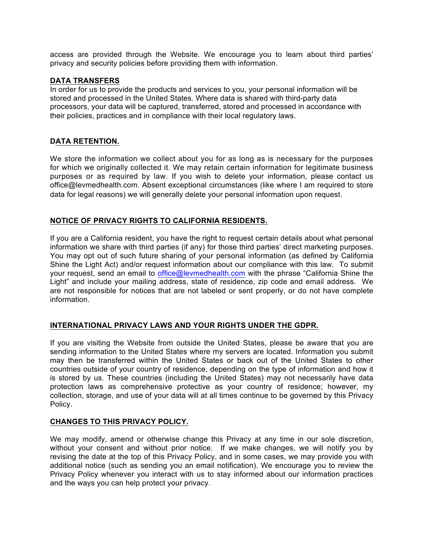access are provided through the Website. We encourage you to learn about third parties' privacy and security policies before providing them with information.

#### **DATA TRANSFERS**

In order for us to provide the products and services to you, your personal information will be stored and processed in the United States. Where data is shared with third-party data processors, your data will be captured, transferred, stored and processed in accordance with their policies, practices and in compliance with their local regulatory laws.

### **DATA RETENTION.**

We store the information we collect about you for as long as is necessary for the purposes for which we originally collected it. We may retain certain information for legitimate business purposes or as required by law. If you wish to delete your information, please contact us office@levmedhealth.com. Absent exceptional circumstances (like where I am required to store data for legal reasons) we will generally delete your personal information upon request.

# **NOTICE OF PRIVACY RIGHTS TO CALIFORNIA RESIDENTS.**

If you are a California resident, you have the right to request certain details about what personal information we share with third parties (if any) for those third parties' direct marketing purposes. You may opt out of such future sharing of your personal information (as defined by California Shine the Light Act) and/or request information about our compliance with this law. To submit your request, send an email to office@levmedhealth.com with the phrase "California Shine the Light" and include your mailing address, state of residence, zip code and email address. We are not responsible for notices that are not labeled or sent properly, or do not have complete information.

# **INTERNATIONAL PRIVACY LAWS AND YOUR RIGHTS UNDER THE GDPR.**

If you are visiting the Website from outside the United States, please be aware that you are sending information to the United States where my servers are located. Information you submit may then be transferred within the United States or back out of the United States to other countries outside of your country of residence, depending on the type of information and how it is stored by us. These countries (including the United States) may not necessarily have data protection laws as comprehensive protective as your country of residence; however, my collection, storage, and use of your data will at all times continue to be governed by this Privacy Policy.

# **CHANGES TO THIS PRIVACY POLICY.**

We may modify, amend or otherwise change this Privacy at any time in our sole discretion, without your consent and without prior notice. If we make changes, we will notify you by revising the date at the top of this Privacy Policy, and in some cases, we may provide you with additional notice (such as sending you an email notification). We encourage you to review the Privacy Policy whenever you interact with us to stay informed about our information practices and the ways you can help protect your privacy.